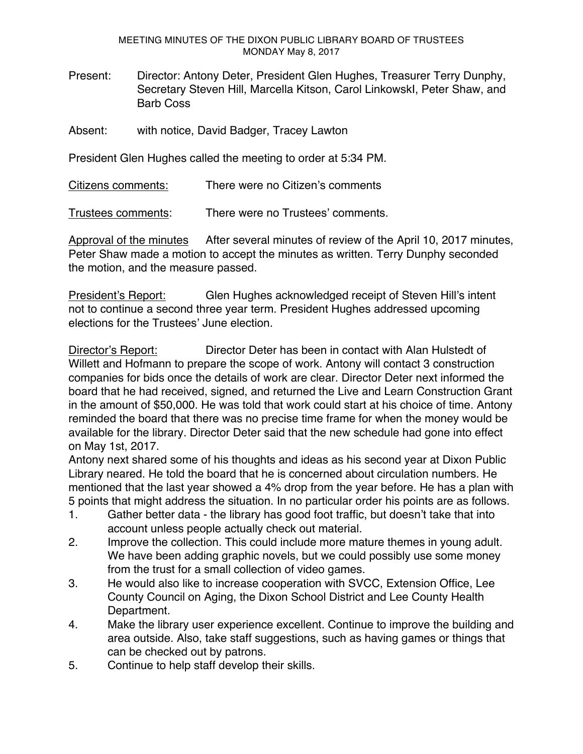MEETING MINUTES OF THE DIXON PUBLIC LIBRARY BOARD OF TRUSTEES MONDAY May 8, 2017

- Present: Director: Antony Deter, President Glen Hughes, Treasurer Terry Dunphy, Secretary Steven Hill, Marcella Kitson, Carol LinkowskI, Peter Shaw, and Barb Coss
- Absent: with notice, David Badger, Tracey Lawton

President Glen Hughes called the meeting to order at 5:34 PM.

Citizens comments: There were no Citizen's comments

Trustees comments: There were no Trustees' comments.

Approval of the minutes After several minutes of review of the April 10, 2017 minutes, Peter Shaw made a motion to accept the minutes as written. Terry Dunphy seconded the motion, and the measure passed.

President's Report: Glen Hughes acknowledged receipt of Steven Hill's intent not to continue a second three year term. President Hughes addressed upcoming elections for the Trustees' June election.

Director's Report: Director Deter has been in contact with Alan Hulstedt of Willett and Hofmann to prepare the scope of work. Antony will contact 3 construction companies for bids once the details of work are clear. Director Deter next informed the board that he had received, signed, and returned the Live and Learn Construction Grant in the amount of \$50,000. He was told that work could start at his choice of time. Antony reminded the board that there was no precise time frame for when the money would be available for the library. Director Deter said that the new schedule had gone into effect on May 1st, 2017.

Antony next shared some of his thoughts and ideas as his second year at Dixon Public Library neared. He told the board that he is concerned about circulation numbers. He mentioned that the last year showed a 4% drop from the year before. He has a plan with 5 points that might address the situation. In no particular order his points are as follows.

- 1. Gather better data the library has good foot traffic, but doesn't take that into account unless people actually check out material.
- 2. Improve the collection. This could include more mature themes in young adult. We have been adding graphic novels, but we could possibly use some money from the trust for a small collection of video games.
- 3. He would also like to increase cooperation with SVCC, Extension Office, Lee County Council on Aging, the Dixon School District and Lee County Health Department.
- 4. Make the library user experience excellent. Continue to improve the building and area outside. Also, take staff suggestions, such as having games or things that can be checked out by patrons.
- 5. Continue to help staff develop their skills.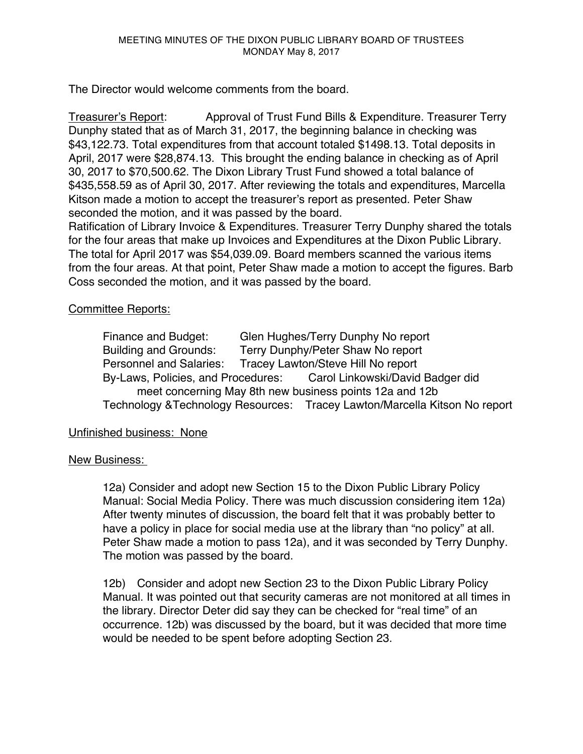The Director would welcome comments from the board.

Treasurer's Report: Approval of Trust Fund Bills & Expenditure. Treasurer Terry Dunphy stated that as of March 31, 2017, the beginning balance in checking was \$43,122.73. Total expenditures from that account totaled \$1498.13. Total deposits in April, 2017 were \$28,874.13. This brought the ending balance in checking as of April 30, 2017 to \$70,500.62. The Dixon Library Trust Fund showed a total balance of \$435,558.59 as of April 30, 2017. After reviewing the totals and expenditures, Marcella Kitson made a motion to accept the treasurer's report as presented. Peter Shaw seconded the motion, and it was passed by the board.

Ratification of Library Invoice & Expenditures. Treasurer Terry Dunphy shared the totals for the four areas that make up Invoices and Expenditures at the Dixon Public Library. The total for April 2017 was \$54,039.09. Board members scanned the various items from the four areas. At that point, Peter Shaw made a motion to accept the figures. Barb Coss seconded the motion, and it was passed by the board.

## Committee Reports:

Finance and Budget: Glen Hughes/Terry Dunphy No report Building and Grounds: Terry Dunphy/Peter Shaw No report Personnel and Salaries: Tracey Lawton/Steve Hill No report By-Laws, Policies, and Procedures: Carol Linkowski/David Badger did meet concerning May 8th new business points 12a and 12b Technology &Technology Resources: Tracey Lawton/Marcella Kitson No report

## Unfinished business: None

## New Business:

12a) Consider and adopt new Section 15 to the Dixon Public Library Policy Manual: Social Media Policy. There was much discussion considering item 12a) After twenty minutes of discussion, the board felt that it was probably better to have a policy in place for social media use at the library than "no policy" at all. Peter Shaw made a motion to pass 12a), and it was seconded by Terry Dunphy. The motion was passed by the board.

12b) Consider and adopt new Section 23 to the Dixon Public Library Policy Manual. It was pointed out that security cameras are not monitored at all times in the library. Director Deter did say they can be checked for "real time" of an occurrence. 12b) was discussed by the board, but it was decided that more time would be needed to be spent before adopting Section 23.